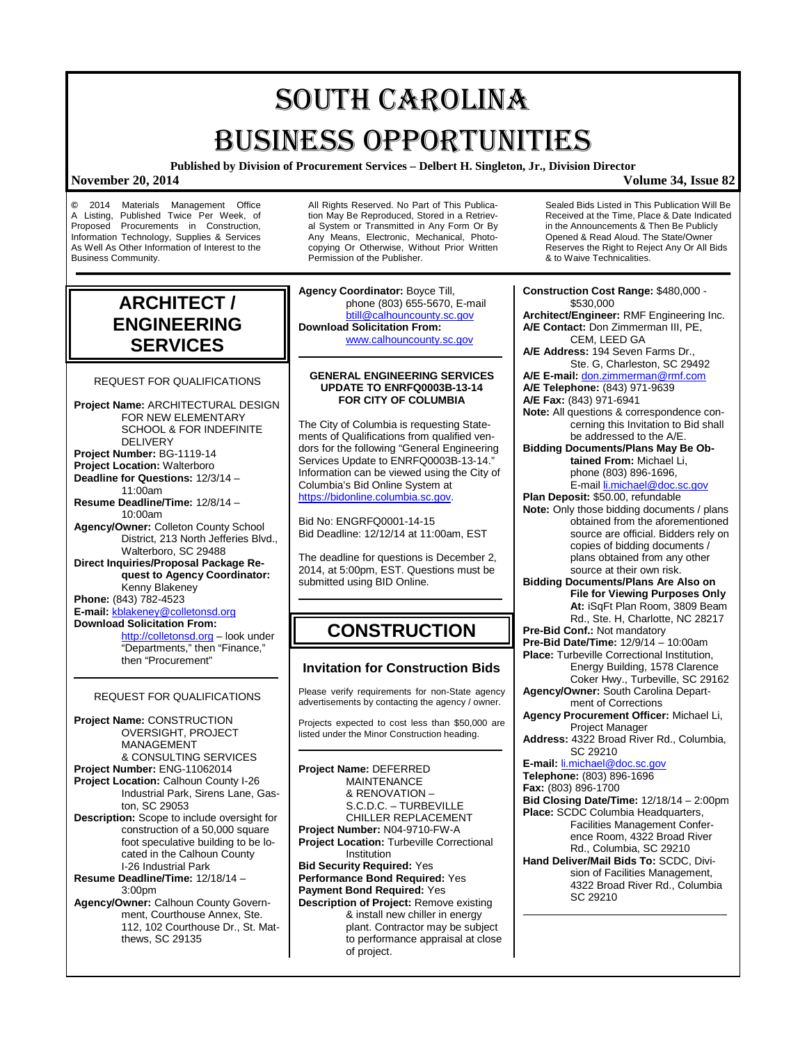# SOUTH CAROLINA BUSINESS OPPORTUNITIES

**Published by Division of Procurement Services – Delbert H. Singleton, Jr., Division Director**

## **November 20, 2014 Volume 34, Issue 82**

**©** 2014 Materials Management Office A Listing, Published Twice Per Week, of Proposed Procurements in Construction, Information Technology, Supplies & Services As Well As Other Information of Interest to the Business Community.

All Rights Reserved. No Part of This Publication May Be Reproduced, Stored in a Retrieval System or Transmitted in Any Form Or By Any Means, Electronic, Mechanical, Photocopying Or Otherwise, Without Prior Written Permission of the Publisher.

## **ARCHITECT / ENGINEERING SERVICES**

REQUEST FOR QUALIFICATIONS

**Project Name:** ARCHITECTURAL DESIGN FOR NEW ELEMENTARY SCHOOL & FOR INDEFINITE DELIVERY **Project Number:** BG-1119-14 **Project Location:** Walterboro **Deadline for Questions:** 12/3/14 – 11:00am **Resume Deadline/Time:** 12/8/14 – 10:00am **Agency/Owner:** Colleton County School District, 213 North Jefferies Blvd., Walterboro, SC 29488 **Direct Inquiries/Proposal Package Request to Agency Coordinator:** Kenny Blakeney **Phone:** (843) 782-4523 **E-mail:** [kblakeney@colletonsd.org](mailto:kblakeney@colletonsd.org) **Download Solicitation From:** [http://colletonsd.org](http://colletonsd.org/) – look under "Departments," then "Finance,"

REQUEST FOR QUALIFICATIONS

then "Procurement"

**Project Name:** CONSTRUCTION OVERSIGHT, PROJECT MANAGEMENT & CONSULTING SERVICES **Project Number:** ENG-11062014 **Project Location:** Calhoun County I-26 Industrial Park, Sirens Lane, Gaston, SC 29053 **Description:** Scope to include oversight for construction of a 50,000 square foot speculative building to be located in the Calhoun County I-26 Industrial Park **Resume Deadline/Time:** 12/18/14 – 3:00pm

**Agency/Owner:** Calhoun County Government, Courthouse Annex, Ste. 112, 102 Courthouse Dr., St. Matthews, SC 29135

**Agency Coordinator:** Boyce Till, phone (803) 655-5670, E-mail

[btill@calhouncounty.sc.gov](mailto:btill@calhouncounty.sc.gov) **Download Solicitation From:** [www.calhouncounty.sc.gov](http://www.calhouncounty.sc.gov/)

### **GENERAL ENGINEERING SERVICES UPDATE TO ENRFQ0003B-13-14 FOR CITY OF COLUMBIA**

The City of Columbia is requesting Statements of Qualifications from qualified vendors for the following "General Engineering Services Update to ENRFQ0003B-13-14." Information can be viewed using the City of Columbia's Bid Online System at [https://bidonline.columbia.sc.gov.](https://bidonline.columbia.sc.gov/)

Bid No: ENGRFQ0001-14-15 Bid Deadline: 12/12/14 at 11:00am, EST

The deadline for questions is December 2, 2014, at 5:00pm, EST. Questions must be submitted using BID Online.

## **CONSTRUCTION**

## **Invitation for Construction Bids**

Please verify requirements for non-State agency advertisements by contacting the agency / owner.

Projects expected to cost less than \$50,000 are listed under the Minor Construction heading.

**Project Name:** DEFERRED MAINTENANCE & RENOVATION – S.C.D.C. – TURBEVILLE CHILLER REPLACEMENT **Project Number:** N04-9710-FW-A **Project Location:** Turbeville Correctional Institution **Bid Security Required:** Yes **Performance Bond Required:** Yes **Payment Bond Required:** Yes **Description of Project:** Remove existing & install new chiller in energy plant. Contractor may be subject to performance appraisal at close

of project.

Sealed Bids Listed in This Publication Will Be Received at the Time, Place & Date Indicated in the Announcements & Then Be Publicly Opened & Read Aloud. The State/Owner Reserves the Right to Reject Any Or All Bids & to Waive Technicalities.

**Construction Cost Range:** \$480,000 - \$530,000 **Architect/Engineer:** RMF Engineering Inc. **A/E Contact:** Don Zimmerman III, PE, CEM, LEED GA **A/E Address:** 194 Seven Farms Dr., Ste. G, Charleston, SC 29492 **A/E E-mail:** [don.zimmerman@rmf.com](mailto:don.zimmerman@rmf.com) **A/E Telephone:** (843) 971-9639 **A/E Fax:** (843) 971-6941 **Note:** All questions & correspondence concerning this Invitation to Bid shall be addressed to the A/E. **Bidding Documents/Plans May Be Obtained From:** Michael Li, phone (803) 896-1696, E-mai[l li.michael@doc.sc.gov](mailto:li.michael@doc.sc.gov) **Plan Deposit:** \$50.00, refundable **Note:** Only those bidding documents / plans obtained from the aforementioned source are official. Bidders rely on copies of bidding documents / plans obtained from any other source at their own risk. **Bidding Documents/Plans Are Also on File for Viewing Purposes Only At:** iSqFt Plan Room, 3809 Beam Rd., Ste. H, Charlotte, NC 28217 **Pre-Bid Conf.:** Not mandatory **Pre-Bid Date/Time:** 12/9/14 – 10:00am **Place:** Turbeville Correctional Institution, Energy Building, 1578 Clarence Coker Hwy., Turbeville, SC 29162 **Agency/Owner:** South Carolina Department of Corrections **Agency Procurement Officer:** Michael Li, Project Manager **Address:** 4322 Broad River Rd., Columbia, SC 29210 **E-mail:** [li.michael@doc.sc.gov](mailto:li.michael@doc.sc.gov) **Telephone:** (803) 896-1696 **Fax:** (803) 896-1700 **Bid Closing Date/Time:** 12/18/14 – 2:00pm **Place:** SCDC Columbia Headquarters, Facilities Management Conference Room, 4322 Broad River Rd., Columbia, SC 29210 **Hand Deliver/Mail Bids To:** SCDC, Division of Facilities Management, 4322 Broad River Rd., Columbia SC 29210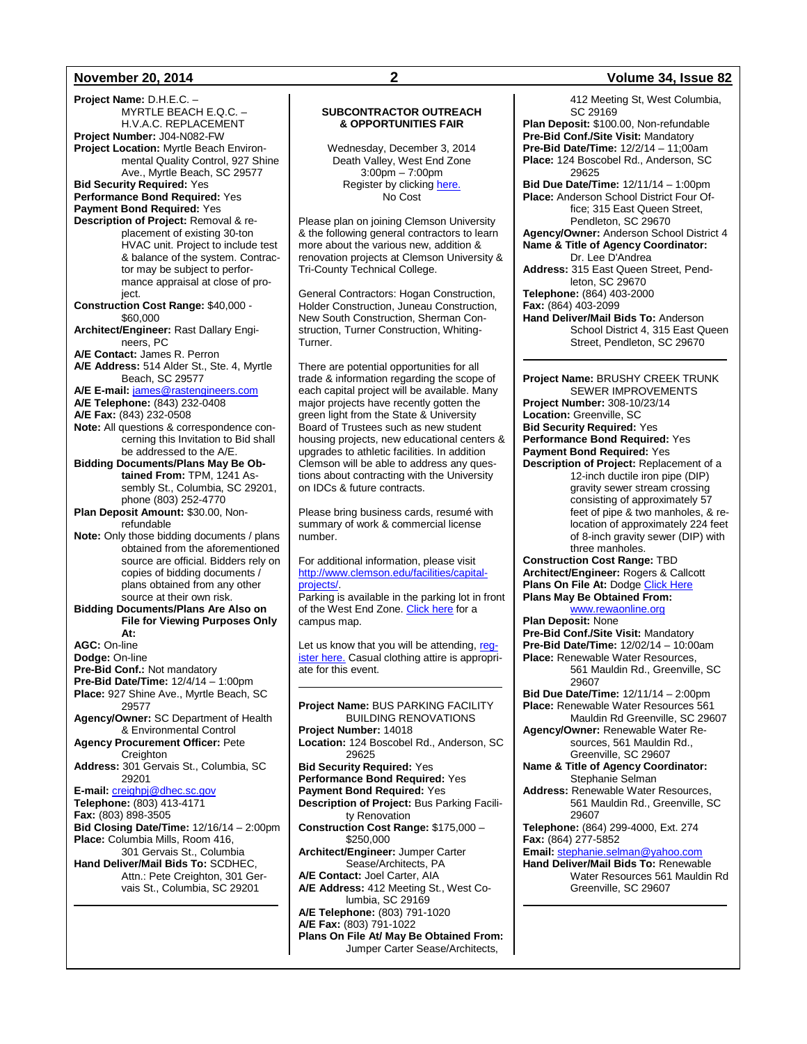**Project Name:** D.H.E.C. – MYRTLE BEACH E.Q.C. – H.V.A.C. REPLACEMENT **Project Number:** J04-N082-FW **Project Location:** Myrtle Beach Environmental Quality Control, 927 Shine Ave., Myrtle Beach, SC 29577 **Bid Security Required:** Yes **Performance Bond Required:** Yes **Payment Bond Required:** Yes **Description of Project:** Removal & replacement of existing 30-ton HVAC unit. Project to include test & balance of the system. Contractor may be subject to performance appraisal at close of project. **Construction Cost Range:** \$40,000 - \$60,000 **Architect/Engineer:** Rast Dallary Engineers, PC **A/E Contact:** James R. Perron **A/E Address:** 514 Alder St., Ste. 4, Myrtle Beach, SC 29577 **A/E E-mail:** [james@rastengineers.com](mailto:james@rastengineers.com) **A/E Telephone:** (843) 232-0408 **A/E Fax:** (843) 232-0508 **Note:** All questions & correspondence concerning this Invitation to Bid shall be addressed to the A/E. **Bidding Documents/Plans May Be Obtained From:** TPM, 1241 Assembly St., Columbia, SC 29201, phone (803) 252-4770 **Plan Deposit Amount:** \$30.00, Nonrefundable **Note:** Only those bidding documents / plans obtained from the aforementioned source are official. Bidders rely on copies of bidding documents / plans obtained from any other source at their own risk. **Bidding Documents/Plans Are Also on File for Viewing Purposes Only At: AGC:** On-line **Dodge:** On-line **Pre-Bid Conf.:** Not mandatory **Pre-Bid Date/Time:** 12/4/14 – 1:00pm **Place:** 927 Shine Ave., Myrtle Beach, SC 29577 **Agency/Owner:** SC Department of Health & Environmental Control **Agency Procurement Officer:** Pete **Creighton Address:** 301 Gervais St., Columbia, SC 29201 **E-mail:** [creighpj@dhec.sc.gov](mailto:creighpj@dhec.sc.gov) **Telephone:** (803) 413-4171 **Fax:** (803) 898-3505 **Bid Closing Date/Time:** 12/16/14 – 2:00pm **Place:** Columbia Mills, Room 416, 301 Gervais St., Columbia **Hand Deliver/Mail Bids To:** SCDHEC, Attn.: Pete Creighton, 301 Gervais St., Columbia, SC 29201

## **SUBCONTRACTOR OUTREACH & OPPORTUNITIES FAIR**

Wednesday, December 3, 2014 Death Valley, West End Zone 3:00pm – 7:00pm Register by clickin[g here.](http://www.clemson.edu/finance/procurement/subcon_register.html) No Cost

Please plan on joining Clemson University & the following general contractors to learn more about the various new, addition & renovation projects at Clemson University & Tri-County Technical College.

General Contractors: Hogan Construction, Holder Construction, Juneau Construction, New South Construction, Sherman Construction, Turner Construction, Whiting-Turner.

There are potential opportunities for all trade & information regarding the scope of each capital project will be available. Many major projects have recently gotten the green light from the State & University Board of Trustees such as new student housing projects, new educational centers & upgrades to athletic facilities. In addition Clemson will be able to address any questions about contracting with the University on IDCs & future contracts.

Please bring business cards, resumé with summary of work & commercial license number.

For additional information, please visit [http://www.clemson.edu/facilities/capital](http://www.clemson.edu/facilities/capital-projects/)[projects/.](http://www.clemson.edu/facilities/capital-projects/) Parking is available in the parking lot in front of the West End Zone[. Click here](http://www.clemson.edu/campus-map/) for a campus map.

Let us know that you will be attending, [reg](http://www.clemson.edu/finance/procurement/subcon_register.html)[ister here.](http://www.clemson.edu/finance/procurement/subcon_register.html) Casual clothing attire is appropriate for this event.

**Project Name:** BUS PARKING FACILITY BUILDING RENOVATIONS **Project Number:** 14018 **Location:** 124 Boscobel Rd., Anderson, SC 29625 **Bid Security Required:** Yes **Performance Bond Required:** Yes **Payment Bond Required:** Yes **Description of Project:** Bus Parking Facility Renovation **Construction Cost Range:** \$175,000 – \$250,000 **Architect/Engineer:** Jumper Carter Sease/Architects, PA **A/E Contact:** Joel Carter, AIA **A/E Address:** 412 Meeting St., West Columbia, SC 29169 **A/E Telephone:** (803) 791-1020 **A/E Fax:** (803) 791-1022 **Plans On File At/ May Be Obtained From:**

Jumper Carter Sease/Architects,

## **November 20, 2014 2 Volume 34, Issue 82**

412 Meeting St, West Columbia, SC 29169

**Plan Deposit:** \$100.00, Non-refundable **Pre-Bid Conf./Site Visit:** Mandatory **Pre-Bid Date/Time:** 12/2/14 – 11;00am **Place:** 124 Boscobel Rd., Anderson, SC 29625

**Bid Due Date/Time: 12/11/14 – 1:00pm Place:** Anderson School District Four Office: 315 East Queen Street. Pendleton, SC 29670

**Agency/Owner:** Anderson School District 4 **Name & Title of Agency Coordinator:**

Dr. Lee D'Andrea **Address:** 315 East Queen Street, Pendleton, SC 29670

**Telephone:** (864) 403-2000

**Fax:** (864) 403-2099

**Hand Deliver/Mail Bids To:** Anderson School District 4, 315 East Queen Street, Pendleton, SC 29670

**Project Name:** BRUSHY CREEK TRUNK SEWER IMPROVEMENTS

**Project Number:** 308-10/23/14 **Location:** Greenville, SC **Bid Security Required:** Yes **Performance Bond Required:** Yes **Payment Bond Required:** Yes

**Description of Project:** Replacement of a 12-inch ductile iron pipe (DIP) gravity sewer stream crossing consisting of approximately 57 feet of pipe & two manholes, & relocation of approximately 224 feet of 8-inch gravity sewer (DIP) with three manholes.

**Construction Cost Range:** TBD **Architect/Engineer:** Rogers & Callcott **Plans On File At: Dodge [Click Here](http://dodgeprojects.construction.com/) Plans May Be Obtained From:** [www.rewaonline.org](http://www.rewaonline.org/)

**Plan Deposit:** None **Pre-Bid Conf./Site Visit:** Mandatory **Pre-Bid Date/Time:** 12/02/14 – 10:00am **Place:** Renewable Water Resources, 561 Mauldin Rd., Greenville, SC 29607 **Bid Due Date/Time:** 12/11/14 – 2:00pm **Place:** Renewable Water Resources 561 Mauldin Rd Greenville, SC 29607 **Agency/Owner:** Renewable Water Resources, 561 Mauldin Rd., Greenville, SC 29607 **Name & Title of Agency Coordinator:** Stephanie Selman **Address:** Renewable Water Resources, 561 Mauldin Rd., Greenville, SC 29607 **Telephone:** (864) 299-4000, Ext. 274 **Fax:** (864) 277-5852 **Email:** [stephanie.selman@yahoo.com](mailto:stephanie.selman@yahoo.com) **Hand Deliver/Mail Bids To:** Renewable Water Resources 561 Mauldin Rd Greenville, SC 29607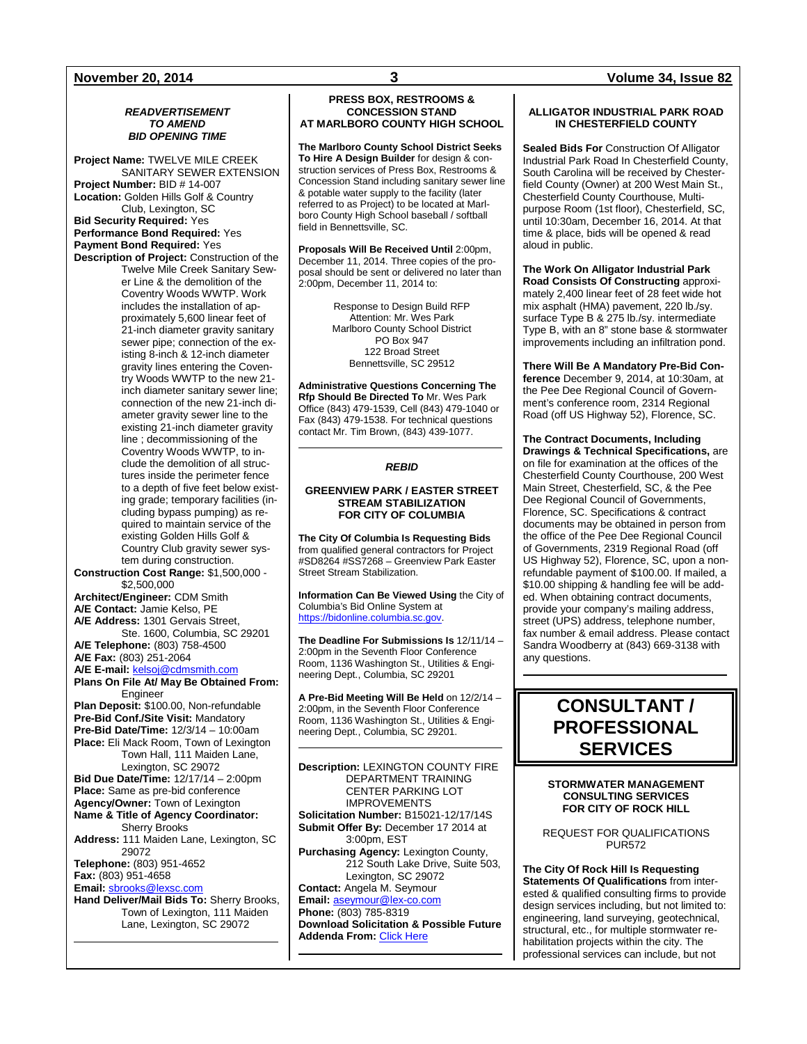### *READVERTISEMENT TO AMEND BID OPENING TIME*

**Project Name:** TWELVE MILE CREEK SANITARY SEWER EXTENSION **Project Number:** BID # 14-007 **Location:** Golden Hills Golf & Country Club, Lexington, SC **Bid Security Required:** Yes **Performance Bond Required:** Yes **Payment Bond Required:** Yes **Description of Project:** Construction of the

Twelve Mile Creek Sanitary Sewer Line & the demolition of the Coventry Woods WWTP. Work includes the installation of approximately 5,600 linear feet of 21-inch diameter gravity sanitary sewer pipe; connection of the existing 8-inch & 12-inch diameter gravity lines entering the Coventry Woods WWTP to the new 21 inch diameter sanitary sewer line; connection of the new 21-inch diameter gravity sewer line to the existing 21-inch diameter gravity line ; decommissioning of the Coventry Woods WWTP, to include the demolition of all structures inside the perimeter fence to a depth of five feet below existing grade; temporary facilities (including bypass pumping) as required to maintain service of the existing Golden Hills Golf & Country Club gravity sewer system during construction.

**Construction Cost Range:** \$1,500,000 - \$2,500,000

**Architect/Engineer:** CDM Smith

**A/E Contact:** Jamie Kelso, PE

**A/E Address:** 1301 Gervais Street, Ste. 1600, Columbia, SC 29201

**A/E Telephone:** (803) 758-4500 **A/E Fax:** (803) 251-2064

**A/E E-mail:** [kelsoj@cdmsmith.com](mailto:kelsoj@cdmsmith.com)

## **Plans On File At/ May Be Obtained From:** Engineer **Plan Deposit:** \$100.00, Non-refundable **Pre-Bid Conf./Site Visit:** Mandatory

**Pre-Bid Date/Time:** 12/3/14 – 10:00am **Place:** Eli Mack Room, Town of Lexington Town Hall, 111 Maiden Lane, Lexington, SC 29072 **Bid Due Date/Time:** 12/17/14 – 2:00pm **Place:** Same as pre-bid conference **Agency/Owner:** Town of Lexington **Name & Title of Agency Coordinator:** Sherry Brooks **Address:** 111 Maiden Lane, Lexington, SC 29072 **Telephone:** (803) 951-4652 **Fax:** (803) 951-4658 **Email:** [sbrooks@lexsc.com](mailto:sbrooks@lexsc.com) **Hand Deliver/Mail Bids To:** Sherry Brooks, Town of Lexington, 111 Maiden Lane, Lexington, SC 29072

### **PRESS BOX, RESTROOMS & CONCESSION STAND AT MARLBORO COUNTY HIGH SCHOOL**

**The Marlboro County School District Seeks To Hire A Design Builder** for design & construction services of Press Box, Restrooms & Concession Stand including sanitary sewer line & potable water supply to the facility (later referred to as Project) to be located at Marlboro County High School baseball / softball field in Bennettsville, SC.

**Proposals Will Be Received Until** 2:00pm, December 11, 2014. Three copies of the proposal should be sent or delivered no later than 2:00pm, December 11, 2014 to:

> Response to Design Build RFP Attention: Mr. Wes Park Marlboro County School District PO Box 947 122 Broad Street Bennettsville, SC 29512

**Administrative Questions Concerning The Rfp Should Be Directed To** Mr. Wes Park Office (843) 479-1539, Cell (843) 479-1040 or Fax (843) 479-1538. For technical questions contact Mr. Tim Brown, (843) 439-1077.

## *REBID*

### **GREENVIEW PARK / EASTER STREET STREAM STABILIZATION FOR CITY OF COLUMBIA**

**The City Of Columbia Is Requesting Bids**  from qualified general contractors for Project #SD8264 #SS7268 – Greenview Park Easter Street Stream Stabilization.

**Information Can Be Viewed Using** the City of Columbia's Bid Online System at [https://bidonline.columbia.sc.gov.](https://bidonline.columbia.sc.gov/)

**The Deadline For Submissions Is** 12/11/14 – 2:00pm in the Seventh Floor Conference Room, 1136 Washington St., Utilities & Engineering Dept., Columbia, SC 29201

**A Pre-Bid Meeting Will Be Held** on 12/2/14 – 2:00pm, in the Seventh Floor Conference Room, 1136 Washington St., Utilities & Engineering Dept., Columbia, SC 29201.

**Description:** LEXINGTON COUNTY FIRE DEPARTMENT TRAINING CENTER PARKING LOT IMPROVEMENTS **Solicitation Number:** B15021-12/17/14S **Submit Offer By:** December 17 2014 at 3:00pm, EST **Purchasing Agency:** Lexington County, 212 South Lake Drive, Suite 503, Lexington, SC 29072 **Contact:** Angela M. Seymour **Email:** [aseymour@lex-co.com](mailto:aseymour@lex-co.com) **Phone:** (803) 785-8319 **Download Solicitation & Possible Future Addenda From:** [Click Here](http://www.lex-co.sc.gov/departments/DeptIQ/procurement/Pages/BidOpportunities.aspx)

## **ALLIGATOR INDUSTRIAL PARK ROAD IN CHESTERFIELD COUNTY**

**Sealed Bids For** Construction Of Alligator Industrial Park Road In Chesterfield County, South Carolina will be received by Chesterfield County (Owner) at 200 West Main St., Chesterfield County Courthouse, Multipurpose Room (1st floor), Chesterfield, SC, until 10:30am, December 16, 2014. At that time & place, bids will be opened & read aloud in public.

**The Work On Alligator Industrial Park Road Consists Of Constructing** approximately 2,400 linear feet of 28 feet wide hot mix asphalt (HMA) pavement, 220 lb./sy. surface Type B & 275 lb./sy. intermediate Type B, with an 8" stone base & stormwater improvements including an infiltration pond.

**There Will Be A Mandatory Pre-Bid Conference** December 9, 2014, at 10:30am, at the Pee Dee Regional Council of Government's conference room, 2314 Regional Road (off US Highway 52), Florence, SC.

**The Contract Documents, Including Drawings & Technical Specifications,** are on file for examination at the offices of the Chesterfield County Courthouse, 200 West Main Street, Chesterfield, SC, & the Pee Dee Regional Council of Governments, Florence, SC. Specifications & contract documents may be obtained in person from the office of the Pee Dee Regional Council of Governments, 2319 Regional Road (off US Highway 52), Florence, SC, upon a nonrefundable payment of \$100.00. If mailed, a \$10.00 shipping & handling fee will be added. When obtaining contract documents, provide your company's mailing address, street (UPS) address, telephone number, fax number & email address. Please contact Sandra Woodberry at (843) 669-3138 with any questions.

## **CONSULTANT / PROFESSIONAL SERVICES**

**STORMWATER MANAGEMENT CONSULTING SERVICES FOR CITY OF ROCK HILL**

REQUEST FOR QUALIFICATIONS PUR572

**The City Of Rock Hill Is Requesting Statements Of Qualifications** from interested & qualified consulting firms to provide design services including, but not limited to: engineering, land surveying, geotechnical, structural, etc., for multiple stormwater rehabilitation projects within the city. The professional services can include, but not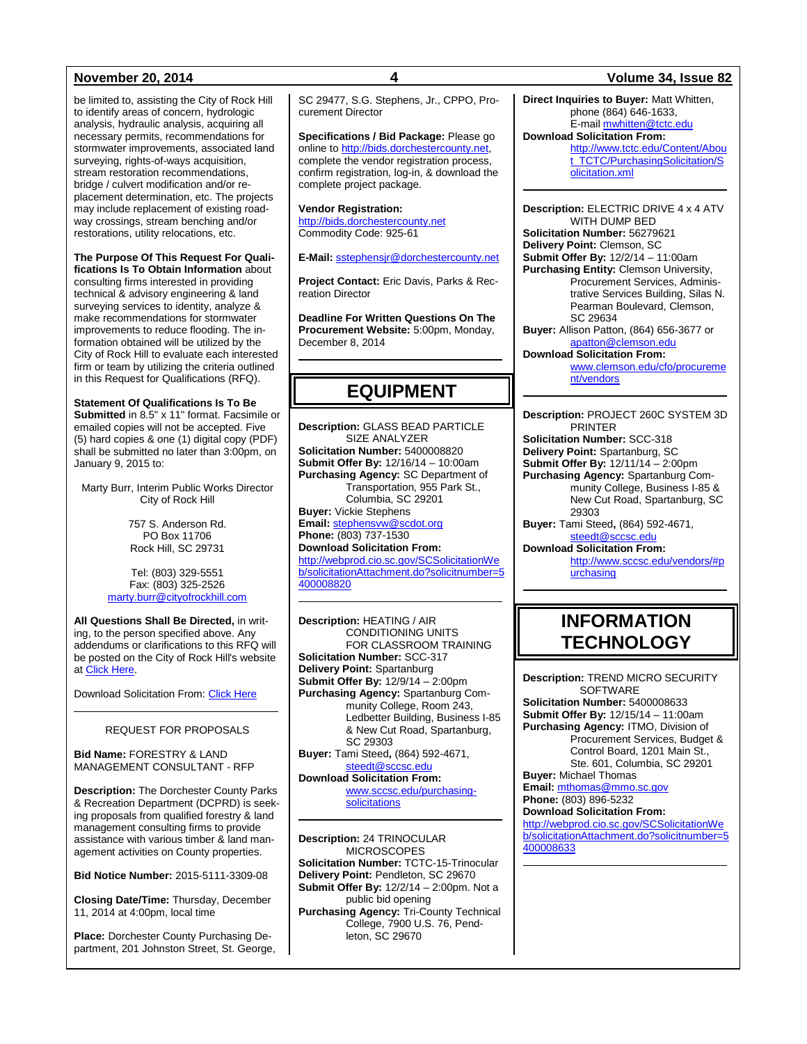be limited to, assisting the City of Rock Hill to identify areas of concern, hydrologic analysis, hydraulic analysis, acquiring all necessary permits, recommendations for stormwater improvements, associated land surveying, rights-of-ways acquisition, stream restoration recommendations, bridge / culvert modification and/or replacement determination, etc. The projects may include replacement of existing roadway crossings, stream benching and/or restorations, utility relocations, etc.

**The Purpose Of This Request For Qualifications Is To Obtain Information** about

consulting firms interested in providing technical & advisory engineering & land surveying services to identity, analyze & make recommendations for stormwater improvements to reduce flooding. The information obtained will be utilized by the City of Rock Hill to evaluate each interested firm or team by utilizing the criteria outlined in this Request for Qualifications (RFQ).

**Statement Of Qualifications Is To Be Submitted** in 8.5" x 11" format. Facsimile or emailed copies will not be accepted. Five (5) hard copies & one (1) digital copy (PDF) shall be submitted no later than 3:00pm, on January 9, 2015 to:

Marty Burr, Interim Public Works Director City of Rock Hill

> 757 S. Anderson Rd. PO Box 11706 Rock Hill, SC 29731

Tel: (803) 329-5551 Fax: (803) 325-2526 [marty.burr@cityofrockhill.com](mailto:marty.burr@cityofrockhill.com)

**All Questions Shall Be Directed,** in writing, to the person specified above. Any addendums or clarifications to this RFQ will be posted on the City of Rock Hill's website at [Click Here.](http://cityofrockhill.com/departments/general-government/purchasing/bids-proposal-requests)

Download Solicitation From: [Click Here](http://cityofrockhill.com/departments/general-government/purchasing/bids-proposal-requests)

## REQUEST FOR PROPOSALS

**Bid Name:** FORESTRY & LAND MANAGEMENT CONSULTANT - RFP

**Description:** The Dorchester County Parks & Recreation Department (DCPRD) is seeking proposals from qualified forestry & land management consulting firms to provide assistance with various timber & land management activities on County properties.

**Bid Notice Number:** 2015-5111-3309-08

**Closing Date/Time:** Thursday, December 11, 2014 at 4:00pm, local time

**Place:** Dorchester County Purchasing Department, 201 Johnston Street, St. George, SC 29477, S.G. Stephens, Jr., CPPO, Procurement Director

**Specifications / Bid Package:** Please go online to [http://bids.dorchestercounty.net,](http://bids.dorchestercounty.net/) complete the vendor registration process, confirm registration, log-in, & download the complete project package.

**Vendor Registration:** [http://bids.dorchestercounty.net](http://bids.dorchestercounty.net/) Commodity Code: 925-61

**E-Mail:** [sstephensjr@dorchestercounty.net](mailto:sstephensjr@dorchestercounty.net)

**Project Contact:** Eric Davis, Parks & Recreation Director

**Deadline For Written Questions On The Procurement Website:** 5:00pm, Monday, December 8, 2014

## **EQUIPMENT**

**Description:** GLASS BEAD PARTICLE SIZE ANALYZER **Solicitation Number:** 5400008820 **Submit Offer By:** 12/16/14 – 10:00am **Purchasing Agency:** SC Department of Transportation, 955 Park St., Columbia, SC 29201 **Buyer:** Vickie Stephens **Email:** [stephensvw@scdot.org](mailto:stephensvw@scdot.org) **Phone:** (803) 737-1530 **Download Solicitation From:** [http://webprod.cio.sc.gov/SCSolicitationWe](http://webprod.cio.sc.gov/SCSolicitationWeb/solicitationAttachment.do?solicitnumber=5400008820) [b/solicitationAttachment.do?solicitnumber=5](http://webprod.cio.sc.gov/SCSolicitationWeb/solicitationAttachment.do?solicitnumber=5400008820)

[400008820](http://webprod.cio.sc.gov/SCSolicitationWeb/solicitationAttachment.do?solicitnumber=5400008820)

**Description:** HEATING / AIR CONDITIONING UNITS FOR CLASSROOM TRAINING **Solicitation Number:** SCC-317 **Delivery Point:** Spartanburg **Submit Offer By:** 12/9/14 – 2:00pm **Purchasing Agency:** Spartanburg Community College, Room 243, Ledbetter Building, Business I-85 & New Cut Road, Spartanburg, SC 29303 **Buyer:** Tami Steed**,** (864) 592-4671, [steedt@sccsc.edu](mailto:steedt@sccsc.edu)

**Download Solicitation From:** [www.sccsc.edu/purchasing](http://www.sccsc.edu/purchasing-solicitations)**[solicitations](http://www.sccsc.edu/purchasing-solicitations)** 

**Description:** 24 TRINOCULAR MICROSCOPES **Solicitation Number:** TCTC-15-Trinocular **Delivery Point:** Pendleton, SC 29670 **Submit Offer By:** 12/2/14 – 2:00pm. Not a public bid opening **Purchasing Agency:** Tri-County Technical College, 7900 U.S. 76, Pendleton, SC 29670

## **November 20, 2014 4 Volume 34, Issue 82**

**Direct Inquiries to Buyer:** Matt Whitten, phone (864) 646-1633, E-mai[l mwhitten@tctc.edu](mailto:mwhitten@tctc.edu) **Download Solicitation From:** [http://www.tctc.edu/Content/Abou](http://www.tctc.edu/Content/About_TCTC/PurchasingSolicitation/Solicitation.xml) [t\\_TCTC/PurchasingSolicitation/S](http://www.tctc.edu/Content/About_TCTC/PurchasingSolicitation/Solicitation.xml) [olicitation.xml](http://www.tctc.edu/Content/About_TCTC/PurchasingSolicitation/Solicitation.xml)

**Description:** ELECTRIC DRIVE 4 x 4 ATV WITH DUMP BED **Solicitation Number:** 56279621 **Delivery Point:** Clemson, SC **Submit Offer By:** 12/2/14 – 11:00am **Purchasing Entity:** Clemson University, Procurement Services, Administrative Services Building, Silas N. Pearman Boulevard, Clemson, SC 29634 **Buyer:** Allison Patton, (864) 656-3677 or

[apatton@clemson.edu](mailto:apatton@clemson.edu) **Download Solicitation From:**

[www.clemson.edu/cfo/procureme](http://www.clemson.edu/cfo/procurement/vendors) [nt/vendors](http://www.clemson.edu/cfo/procurement/vendors)

**Description:** PROJECT 260C SYSTEM 3D PRINTER **Solicitation Number:** SCC-318 **Delivery Point:** Spartanburg, SC **Submit Offer By:** 12/11/14 – 2:00pm **Purchasing Agency:** Spartanburg Community College, Business I-85 & New Cut Road, Spartanburg, SC 29303 **Buyer:** Tami Steed**,** (864) 592-4671, [steedt@sccsc.edu](mailto:steedt@sccsc.edu) **Download Solicitation From:**

[http://www.sccsc.edu/vendors/#p](http://www.sccsc.edu/vendors/#purchasing) [urchasing](http://www.sccsc.edu/vendors/#purchasing)

## **INFORMATION TECHNOLOGY**

**Description:** TREND MICRO SECURITY **SOFTWARE Solicitation Number:** 5400008633 **Submit Offer By:** 12/15/14 – 11:00am **Purchasing Agency:** ITMO, Division of Procurement Services, Budget & Control Board, 1201 Main St., Ste. 601, Columbia, SC 29201 **Buyer:** Michael Thomas **Email:** [mthomas@mmo.sc.gov](mailto:mthomas@mmo.sc.gov)

**Phone:** (803) 896-5232 **Download Solicitation From:**

[http://webprod.cio.sc.gov/SCSolicitationWe](http://webprod.cio.sc.gov/SCSolicitationWeb/solicitationAttachment.do?solicitnumber=5400008633) [b/solicitationAttachment.do?solicitnumber=5](http://webprod.cio.sc.gov/SCSolicitationWeb/solicitationAttachment.do?solicitnumber=5400008633) [400008633](http://webprod.cio.sc.gov/SCSolicitationWeb/solicitationAttachment.do?solicitnumber=5400008633)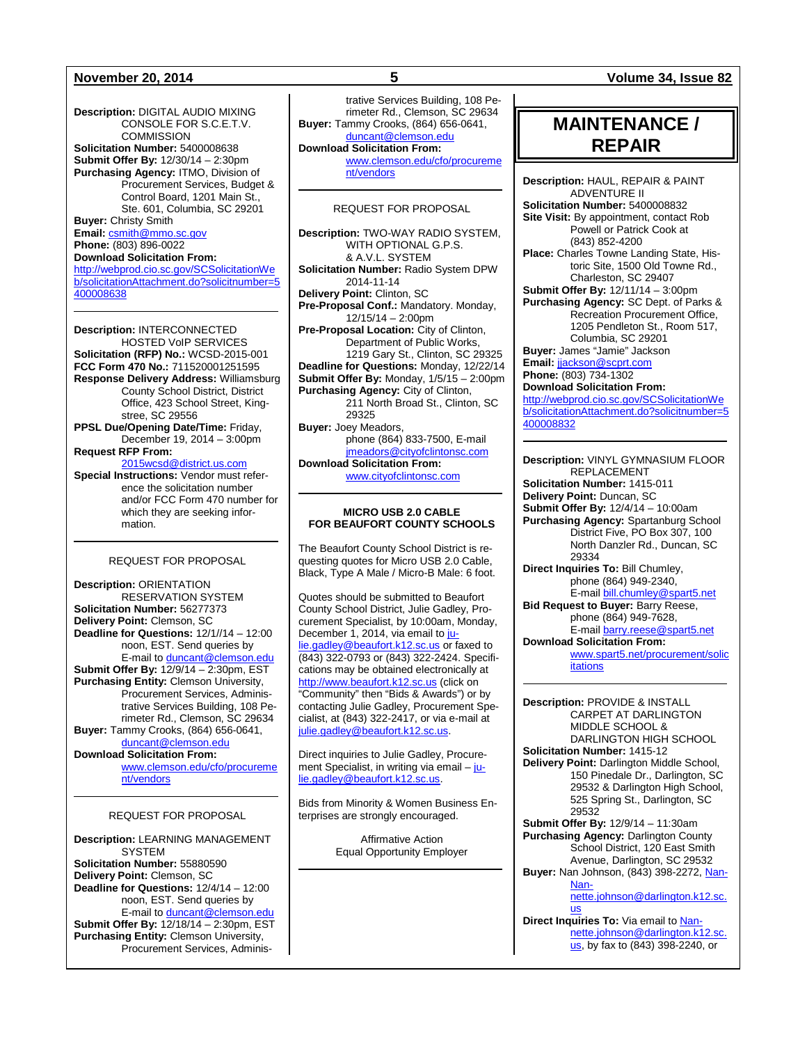## **November 20, 2014 5 Volume 34, Issue 82**

**Description:** DIGITAL AUDIO MIXING CONSOLE FOR S.C.E.T.V. **COMMISSION Solicitation Number:** 5400008638 **Submit Offer By:** 12/30/14 – 2:30pm **Purchasing Agency:** ITMO, Division of Procurement Services, Budget & Control Board, 1201 Main St., Ste. 601, Columbia, SC 29201 **Buyer:** Christy Smith **Email:** [csmith@mmo.sc.gov](mailto:csmith@mmo.sc.gov) **Phone:** (803) 896-0022 **Download Solicitation From:** [http://webprod.cio.sc.gov/SCSolicitationWe](http://webprod.cio.sc.gov/SCSolicitationWeb/solicitationAttachment.do?solicitnumber=5400008638) [b/solicitationAttachment.do?solicitnumber=5](http://webprod.cio.sc.gov/SCSolicitationWeb/solicitationAttachment.do?solicitnumber=5400008638) [400008638](http://webprod.cio.sc.gov/SCSolicitationWeb/solicitationAttachment.do?solicitnumber=5400008638)

**Description:** INTERCONNECTED HOSTED VoIP SERVICES **Solicitation (RFP) No.:** WCSD-2015-001 **FCC Form 470 No.:** 711520001251595 **Response Delivery Address:** Williamsburg County School District, District Office, 423 School Street, Kingstree, SC 29556 **PPSL Due/Opening Date/Time:** Friday, December 19, 2014 – 3:00pm **Request RFP From:** [2015wcsd@district.us.com](mailto:2015wcsd@district.us.com)

**Special Instructions:** Vendor must reference the solicitation number and/or FCC Form 470 number for which they are seeking information.

## REQUEST FOR PROPOSAL

**Description:** ORIENTATION RESERVATION SYSTEM **Solicitation Number:** 56277373 **Delivery Point:** Clemson, SC **Deadline for Questions:** 12/1//14 – 12:00 noon, EST. Send queries by E-mail to [duncant@clemson.edu](mailto:duncant@clemson.edu) **Submit Offer By:** 12/9/14 – 2:30pm, EST **Purchasing Entity:** Clemson University, Procurement Services, Administrative Services Building, 108 Perimeter Rd., Clemson, SC 29634 **Buyer:** Tammy Crooks, (864) 656-0641, [duncant@clemson.edu](mailto:duncant@clemson.edu) **Download Solicitation From:**

[www.clemson.edu/cfo/procureme](http://www.clemson.edu/cfo/procurement/vendors) [nt/vendors](http://www.clemson.edu/cfo/procurement/vendors)

## REQUEST FOR PROPOSAL

**Description:** LEARNING MANAGEMENT SYSTEM **Solicitation Number:** 55880590 **Delivery Point:** Clemson, SC **Deadline for Questions:** 12/4/14 – 12:00 noon, EST. Send queries by E-mail to [duncant@clemson.edu](mailto:duncant@clemson.edu) **Submit Offer By:** 12/18/14 – 2:30pm, EST **Purchasing Entity:** Clemson University, Procurement Services, Adminis-

trative Services Building, 108 Perimeter Rd., Clemson, SC 29634 **Buyer:** Tammy Crooks, (864) 656-0641, [duncant@clemson.edu](mailto:duncant@clemson.edu) **Download Solicitation From:** [www.clemson.edu/cfo/procureme](http://www.clemson.edu/cfo/procurement/vendors)

[nt/vendors](http://www.clemson.edu/cfo/procurement/vendors)

## REQUEST FOR PROPOSAL

**Description:** TWO-WAY RADIO SYSTEM, WITH OPTIONAL G.P.S. & A.V.L. SYSTEM **Solicitation Number:** Radio System DPW 2014-11-14 **Delivery Point:** Clinton, SC **Pre-Proposal Conf.:** Mandatory. Monday, 12/15/14 – 2:00pm **Pre-Proposal Location:** City of Clinton, Department of Public Works, 1219 Gary St., Clinton, SC 29325 **Deadline for Questions:** Monday, 12/22/14 **Submit Offer By:** Monday, 1/5/15 – 2:00pm **Purchasing Agency:** City of Clinton, 211 North Broad St., Clinton, SC 29325 **Buyer:** Joey Meadors, phone (864) 833-7500, E-mail [jmeadors@cityofclintonsc.com](mailto:jmeadors@cityofclintonsc.com) **Download Solicitation From:**

[www.cityofclintonsc.com](http://www.cityofclintonsc.com/)

### **MICRO USB 2.0 CABLE FOR BEAUFORT COUNTY SCHOOLS**

The Beaufort County School District is requesting quotes for Micro USB 2.0 Cable, Black, Type A Male / Micro-B Male: 6 foot.

Quotes should be submitted to Beaufort County School District, Julie Gadley, Procurement Specialist, by 10:00am, Monday, December 1, 2014, via email t[o ju](mailto:julie.gadley@beaufort.k12.sc.us)[lie.gadley@beaufort.k12.sc.us](mailto:julie.gadley@beaufort.k12.sc.us) or faxed to (843) 322-0793 or (843) 322-2424. Specifications may be obtained electronically at [http://www.beaufort.k12.sc.us](http://www.beaufort.k12.sc.us/) (click on "Community" then "Bids & Awards") or by contacting Julie Gadley, Procurement Specialist, at (843) 322-2417, or via e-mail at [julie.gadley@beaufort.k12.sc.us.](mailto:julie.gadley@beaufort.k12.sc.us)

Direct inquiries to Julie Gadley, Procurement Specialist, in writing via email  $-\underline{ju}$ [lie.gadley@beaufort.k12.sc.us.](mailto:julie.gadley@beaufort.k12.sc.us)

Bids from Minority & Women Business Enterprises are strongly encouraged.

> Affirmative Action Equal Opportunity Employer

## **MAINTENANCE / REPAIR**

**Description:** HAUL, REPAIR & PAINT ADVENTURE II **Solicitation Number:** 5400008832 **Site Visit:** By appointment, contact Rob Powell or Patrick Cook at (843) 852-4200 **Place:** Charles Towne Landing State, Historic Site, 1500 Old Towne Rd., Charleston, SC 29407 **Submit Offer By:** 12/11/14 – 3:00pm **Purchasing Agency:** SC Dept. of Parks & Recreation Procurement Office, 1205 Pendleton St., Room 517, Columbia, SC 29201 **Buyer:** James "Jamie" Jackson **Email:** [jjackson@scprt.com](mailto:jjackson@scprt.com) **Phone:** (803) 734-1302 **Download Solicitation From:** [http://webprod.cio.sc.gov/SCSolicitationWe](http://webprod.cio.sc.gov/SCSolicitationWeb/solicitationAttachment.do?solicitnumber=5400008832)

[b/solicitationAttachment.do?solicitnumber=5](http://webprod.cio.sc.gov/SCSolicitationWeb/solicitationAttachment.do?solicitnumber=5400008832) [400008832](http://webprod.cio.sc.gov/SCSolicitationWeb/solicitationAttachment.do?solicitnumber=5400008832)

**Description:** VINYL GYMNASIUM FLOOR REPLACEMENT

**Solicitation Number:** 1415-011 **Delivery Point:** Duncan, SC **Submit Offer By:** 12/4/14 – 10:00am **Purchasing Agency:** Spartanburg School District Five, PO Box 307, 100 North Danzler Rd., Duncan, SC 29334 **Direct Inquiries To:** Bill Chumley,

phone (864) 949-2340, E-mai[l bill.chumley@spart5.net](mailto:bill.chumley@spart5.net)

**Bid Request to Buyer:** Barry Reese, phone (864) 949-7628, E-mai[l barry.reese@spart5.net](mailto:barry.reese@spart5.net) **Download Solicitation From:**

[www.spart5.net/procurement/solic](http://www.spart5.net/procurement/solicitations) [itations](http://www.spart5.net/procurement/solicitations)

**Description:** PROVIDE & INSTALL CARPET AT DARLINGTON MIDDLE SCHOOL & DARLINGTON HIGH SCHOOL **Solicitation Number:** 1415-12 **Delivery Point:** Darlington Middle School, 150 Pinedale Dr., Darlington, SC 29532 & Darlington High School, 525 Spring St., Darlington, SC 29532 **Submit Offer By:** 12/9/14 – 11:30am **Purchasing Agency:** Darlington County School District, 120 East Smith

Avenue, Darlington, SC 29532 **Buyer:** Nan Johnson, (843) 398-2272, Nan-[Nan-](mailto:Nannette.johnson@darlington.k12.sc.us)

> [nette.johnson@darlington.k12.sc.](mailto:Nannette.johnson@darlington.k12.sc.us) [us](mailto:Nannette.johnson@darlington.k12.sc.us)

**Direct Inquiries To:** Via email to **[Nan](mailto:Nannette.johnson@darlington.k12.sc.us)**[nette.johnson@darlington.k12.sc.](mailto:Nannette.johnson@darlington.k12.sc.us) [us,](mailto:Nannette.johnson@darlington.k12.sc.us) by fax to (843) 398-2240, or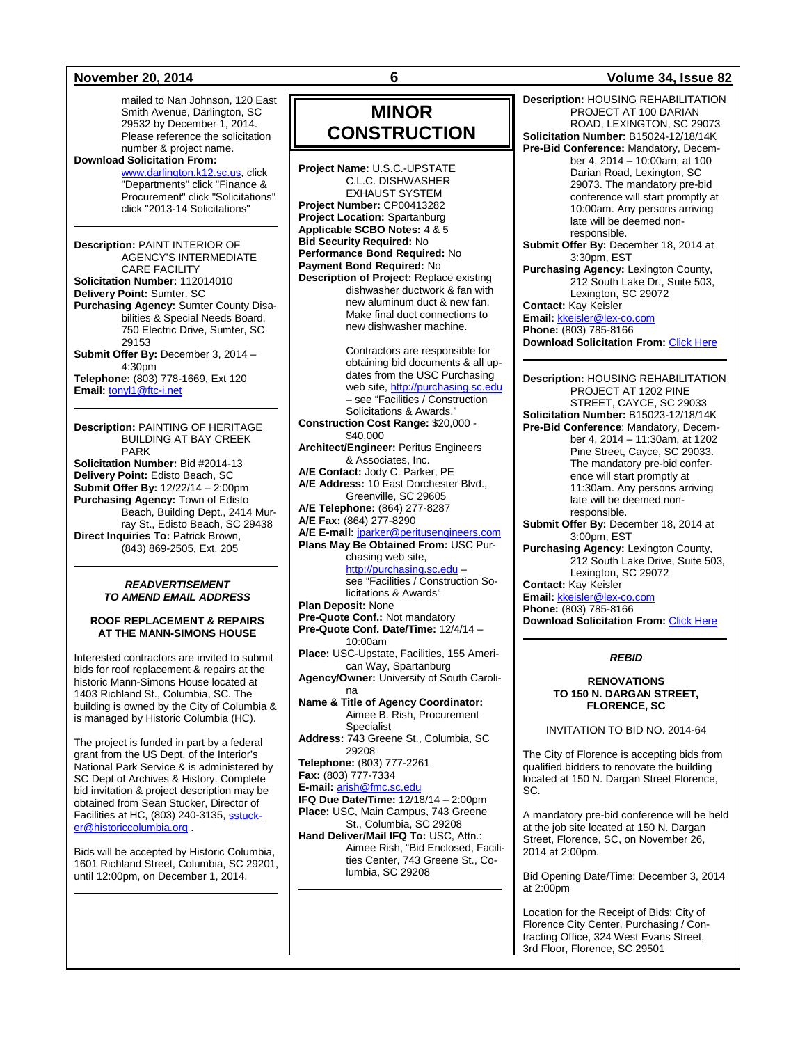mailed to Nan Johnson, 120 East Smith Avenue, Darlington, SC 29532 by December 1, 2014. Please reference the solicitation number & project name.

## **Download Solicitation From:**

[www.darlington.k12.sc.us,](http://www.darlington.k12.sc.us/) click "Departments" click "Finance & Procurement" click "Solicitations" click "2013-14 Solicitations"

**Description:** PAINT INTERIOR OF AGENCY'S INTERMEDIATE CARE FACILITY **Solicitation Number:** 112014010 **Delivery Point:** Sumter. SC **Purchasing Agency:** Sumter County Disabilities & Special Needs Board, 750 Electric Drive, Sumter, SC 29153 **Submit Offer By:** December 3, 2014 – 4:30pm **Telephone:** (803) 778-1669, Ext 120 **Email:** [tonyl1@ftc-i.net](mailto:tonyl1@ftc-i.net)

**Description:** PAINTING OF HERITAGE BUILDING AT BAY CREEK PARK **Solicitation Number:** Bid #2014-13 **Delivery Point:** Edisto Beach, SC **Submit Offer By:** 12/22/14 – 2:00pm **Purchasing Agency:** Town of Edisto Beach, Building Dept., 2414 Murray St., Edisto Beach, SC 29438 **Direct Inquiries To:** Patrick Brown, (843) 869-2505, Ext. 205

## *READVERTISEMENT TO AMEND EMAIL ADDRESS*

### **ROOF REPLACEMENT & REPAIRS AT THE MANN-SIMONS HOUSE**

Interested contractors are invited to submit bids for roof replacement & repairs at the historic Mann-Simons House located at 1403 Richland St., Columbia, SC. The building is owned by the City of Columbia & is managed by Historic Columbia (HC).

The project is funded in part by a federal grant from the US Dept. of the Interior's National Park Service & is administered by SC Dept of Archives & History. Complete bid invitation & project description may be obtained from Sean Stucker, Director of Facilities at HC, (803) 240-3135, [sstuck](mailto:sstucker@historiccolumbia.org)[er@historiccolumbia.org](mailto:sstucker@historiccolumbia.org) .

Bids will be accepted by Historic Columbia, 1601 Richland Street, Columbia, SC 29201, until 12:00pm, on December 1, 2014.

## **MINOR CONSTRUCTION**

**Project Name:** U.S.C.-UPSTATE C.L.C. DISHWASHER EXHAUST SYSTEM **Project Number:** CP00413282 **Project Location:** Spartanburg **Applicable SCBO Notes:** 4 & 5 **Bid Security Required:** No **Performance Bond Required:** No **Payment Bond Required:** No **Description of Project:** Replace existing dishwasher ductwork & fan with new aluminum duct & new fan. Make final duct connections to new dishwasher machine. Contractors are responsible for obtaining bid documents & all updates from the USC Purchasing web site[, http://purchasing.sc.edu](http://purchasing.sc.edu/) – see "Facilities / Construction Solicitations & Awards." **Construction Cost Range:** \$20,000 - \$40,000 **Architect/Engineer:** Peritus Engineers & Associates, Inc. **A/E Contact:** Jody C. Parker, PE **A/E Address:** 10 East Dorchester Blvd., Greenville, SC 29605 **A/E Telephone:** (864) 277-8287 **A/E Fax:** (864) 277-8290 **A/E E-mail:** [jparker@peritusengineers.com](mailto:jparker@peritusengineers.com) **Plans May Be Obtained From:** USC Purchasing web site, [http://purchasing.sc.edu](http://purchasing.sc.edu/) – see "Facilities / Construction Solicitations & Awards" **Plan Deposit:** None **Pre-Quote Conf.:** Not mandatory **Pre-Quote Conf. Date/Time:** 12/4/14 – 10:00am **Place:** USC-Upstate, Facilities, 155 American Way, Spartanburg **Agency/Owner:** University of South Carolina **Name & Title of Agency Coordinator:** Aimee B. Rish, Procurement Specialist **Address:** 743 Greene St., Columbia, SC

29208

**Telephone:** (803) 777-2261

**Fax:** (803) 777-7334 **E-mail:** [arish@fmc.sc.edu](mailto:arish@fmc.sc.edu)

**IFQ Due Date/Time:** 12/18/14 – 2:00pm

**Place:** USC, Main Campus, 743 Greene St., Columbia, SC 29208

**Hand Deliver/Mail IFQ To:** USC, Attn.: Aimee Rish, "Bid Enclosed, Facilities Center, 743 Greene St., Columbia, SC 29208

**November 20, 2014 6 Volume 34, Issue 82 Description:** HOUSING REHABILITATION PROJECT AT 100 DARIAN ROAD, LEXINGTON, SC 29073 **Solicitation Number:** B15024-12/18/14K **Pre-Bid Conference:** Mandatory, December 4, 2014 – 10:00am, at 100 Darian Road, Lexington, SC 29073. The mandatory pre-bid conference will start promptly at 10:00am. Any persons arriving late will be deemed nonresponsible. **Submit Offer By:** December 18, 2014 at 3:30pm, EST **Purchasing Agency:** Lexington County, 212 South Lake Dr., Suite 503, Lexington, SC 29072 **Contact:** Kay Keisler **Email:** [kkeisler@lex-co.com](mailto:kkeisler@lex-co.com) **Phone:** (803) 785-8166 **Download Solicitation From:** [Click Here](http://www.lex-co.sc.gov/departments/DeptIQ/procurement/Pages/BidOpportunities.aspx) **Description:** HOUSING REHABILITATION PROJECT AT 1202 PINE STREET, CAYCE, SC 29033 **Solicitation Number:** B15023-12/18/14K **Pre-Bid Conference**: Mandatory, December 4, 2014 – 11:30am, at 1202 Pine Street, Cayce, SC 29033. The mandatory pre-bid conference will start promptly at 11:30am. Any persons arriving late will be deemed nonresponsible. **Submit Offer By:** December 18, 2014 at 3:00pm, EST **Purchasing Agency:** Lexington County, 212 South Lake Drive, Suite 503, Lexington, SC 29072 **Contact:** Kay Keisler **Email:** [kkeisler@lex-co.com](mailto:kkeisler@lex-co.com) **Phone:** (803) 785-8166 **Download Solicitation From:** [Click Here](http://www.lex-co.sc.gov/departments/DeptIQ/procurement/Pages/BidOpportunities.aspx) *REBID* **RENOVATIONS TO 150 N. DARGAN STREET, FLORENCE, SC** INVITATION TO BID NO. 2014-64 The City of Florence is accepting bids from qualified bidders to renovate the building located at 150 N. Dargan Street Florence, SC. A mandatory pre-bid conference will be held

at the job site located at 150 N. Dargan Street, Florence, SC, on November 26, 2014 at 2:00pm.

Bid Opening Date/Time: December 3, 2014 at 2:00pm

Location for the Receipt of Bids: City of Florence City Center, Purchasing / Contracting Office, 324 West Evans Street, 3rd Floor, Florence, SC 29501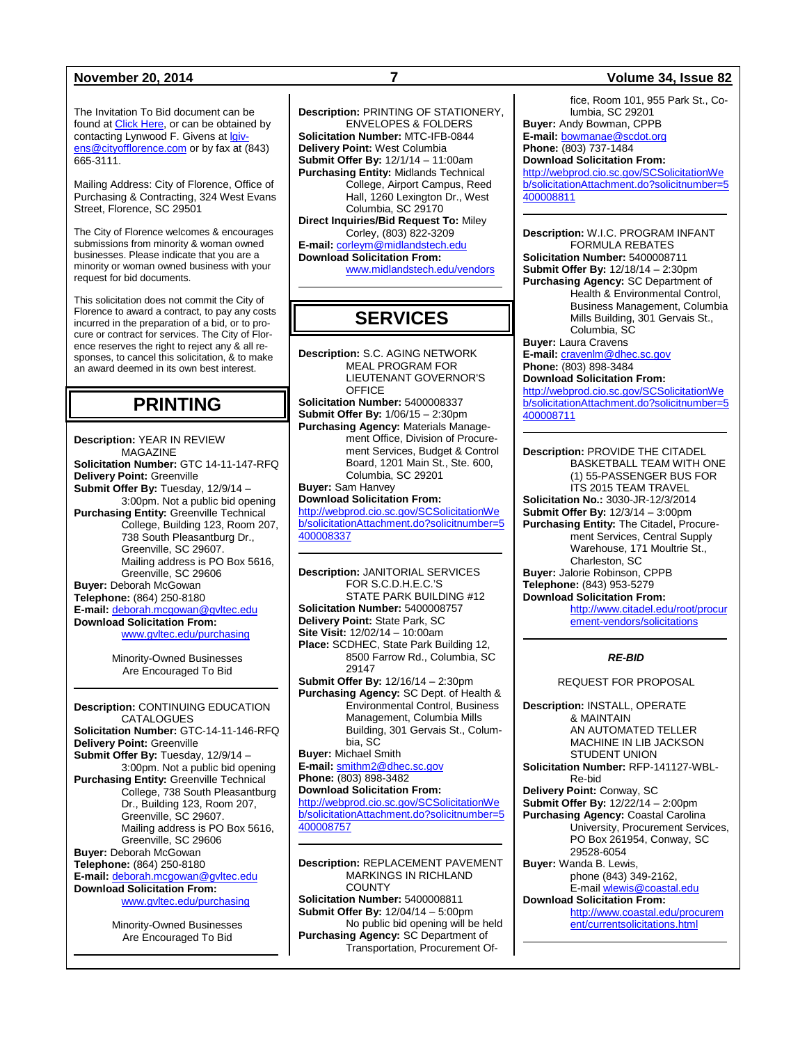The Invitation To Bid document can be found at **Click Here**, or can be obtained by contacting Lynwood F. Givens at Igiv[ens@cityofflorence.com](mailto:lgivens@cityofflorence.com)</u> or by fax at (843) 665-3111.

Mailing Address: City of Florence, Office of Purchasing & Contracting, 324 West Evans Street, Florence, SC 29501

The City of Florence welcomes & encourages submissions from minority & woman owned businesses. Please indicate that you are a minority or woman owned business with your request for bid documents.

This solicitation does not commit the City of Florence to award a contract, to pay any costs incurred in the preparation of a bid, or to procure or contract for services. The City of Florence reserves the right to reject any & all responses, to cancel this solicitation, & to make an award deemed in its own best interest.

## **PRINTING**

**Description:** YEAR IN REVIEW MAGAZINE **Solicitation Number:** GTC 14-11-147-RFQ **Delivery Point:** Greenville **Submit Offer By:** Tuesday, 12/9/14 – 3:00pm. Not a public bid opening **Purchasing Entity:** Greenville Technical College, Building 123, Room 207, 738 South Pleasantburg Dr., Greenville, SC 29607. Mailing address is PO Box 5616, Greenville, SC 29606 **Buyer:** Deborah McGowan **Telephone:** (864) 250-8180 **E-mail:** [deborah.mcgowan@gvltec.edu](mailto:deborah.mcgowan@gvltec.edu) **Download Solicitation From:** [www.gvltec.edu/purchasing](http://www.gvltec.edu/purchasing)

> Minority-Owned Businesses Are Encouraged To Bid

**Description:** CONTINUING EDUCATION CATALOGUES **Solicitation Number:** GTC-14-11-146-RFQ **Delivery Point:** Greenville **Submit Offer By:** Tuesday, 12/9/14 – 3:00pm. Not a public bid opening **Purchasing Entity:** Greenville Technical College, 738 South Pleasantburg Dr., Building 123, Room 207, Greenville, SC 29607. Mailing address is PO Box 5616, Greenville, SC 29606 **Buyer:** Deborah McGowan **Telephone:** (864) 250-8180 **E-mail:** [deborah.mcgowan@gvltec.edu](mailto:deborah.mcgowan@gvltec.edu) **Download Solicitation From:** [www.gvltec.edu/purchasing](http://www.gvltec.edu/purchasing)

> Minority-Owned Businesses Are Encouraged To Bid

**Description:** PRINTING OF STATIONERY, ENVELOPES & FOLDERS **Solicitation Number:** MTC-IFB-0844 **Delivery Point:** West Columbia **Submit Offer By:** 12/1/14 – 11:00am **Purchasing Entity:** Midlands Technical College, Airport Campus, Reed Hall, 1260 Lexington Dr., West Columbia, SC 29170 **Direct Inquiries/Bid Request To:** Miley Corley, (803) 822-3209 **E-mail:** [corleym@midlandstech.edu](mailto:corleym@midlandstech.edu) **Download Solicitation From:**  [www.midlandstech.edu/vendors](http://www.midlandstech.edu/vendors)

**SERVICES**

**Description:** S.C. AGING NETWORK MEAL PROGRAM FOR LIEUTENANT GOVERNOR'S **OFFICE Solicitation Number:** 5400008337 **Submit Offer By:** 1/06/15 – 2:30pm **Purchasing Agency:** Materials Management Office, Division of Procurement Services, Budget & Control Board, 1201 Main St., Ste. 600, Columbia, SC 29201 **Buyer:** Sam Hanvey **Download Solicitation From:** [http://webprod.cio.sc.gov/SCSolicitationWe](http://webprod.cio.sc.gov/SCSolicitationWeb/solicitationAttachment.do?solicitnumber=5400008337) [b/solicitationAttachment.do?solicitnumber=5](http://webprod.cio.sc.gov/SCSolicitationWeb/solicitationAttachment.do?solicitnumber=5400008337) [400008337](http://webprod.cio.sc.gov/SCSolicitationWeb/solicitationAttachment.do?solicitnumber=5400008337)

**Description:** JANITORIAL SERVICES FOR S.C.D.H.E.C.'S STATE PARK BUILDING #12 **Solicitation Number:** 5400008757 **Delivery Point:** State Park, SC **Site Visit:** 12/02/14 – 10:00am **Place:** SCDHEC, State Park Building 12, 8500 Farrow Rd., Columbia, SC 29147 **Submit Offer By:** 12/16/14 – 2:30pm **Purchasing Agency:** SC Dept. of Health & Environmental Control, Business Management, Columbia Mills Building, 301 Gervais St., Columbia, SC **Buyer:** Michael Smith **E-mail:** [smithm2@dhec.sc.gov](mailto:smithm2@dhec.sc.gov) **Phone:** (803) 898-3482 **Download Solicitation From:** [http://webprod.cio.sc.gov/SCSolicitationWe](http://webprod.cio.sc.gov/SCSolicitationWeb/solicitationAttachment.do?solicitnumber=5400008757) [b/solicitationAttachment.do?solicitnumber=5](http://webprod.cio.sc.gov/SCSolicitationWeb/solicitationAttachment.do?solicitnumber=5400008757) [400008757](http://webprod.cio.sc.gov/SCSolicitationWeb/solicitationAttachment.do?solicitnumber=5400008757)

**Description:** REPLACEMENT PAVEMENT MARKINGS IN RICHLAND **COUNTY Solicitation Number:** 5400008811 **Submit Offer By:** 12/04/14 – 5:00pm No public bid opening will be held **Purchasing Agency:** SC Department of Transportation, Procurement Of-

## **November 20, 2014 7 Volume 34, Issue 82**

fice, Room 101, 955 Park St., Columbia, SC 29201 **Buyer:** Andy Bowman, CPPB **E-mail:** [bowmanae@scdot.org](mailto:bowmanae@scdot.org) **Phone:** (803) 737-1484 **Download Solicitation From:** [http://webprod.cio.sc.gov/SCSolicitationWe](http://webprod.cio.sc.gov/SCSolicitationWeb/solicitationAttachment.do?solicitnumber=5400008811)

[b/solicitationAttachment.do?solicitnumber=5](http://webprod.cio.sc.gov/SCSolicitationWeb/solicitationAttachment.do?solicitnumber=5400008811) [400008811](http://webprod.cio.sc.gov/SCSolicitationWeb/solicitationAttachment.do?solicitnumber=5400008811)

**Description:** W.I.C. PROGRAM INFANT FORMULA REBATES **Solicitation Number:** 5400008711 **Submit Offer By:** 12/18/14 – 2:30pm **Purchasing Agency:** SC Department of Health & Environmental Control, Business Management, Columbia Mills Building, 301 Gervais St., Columbia, SC **Buyer:** Laura Cravens **E-mail:** [cravenlm@dhec.sc.gov](mailto:cravenlm@dhec.sc.gov) **Phone:** (803) 898-3484 **Download Solicitation From:** [http://webprod.cio.sc.gov/SCSolicitationWe](http://webprod.cio.sc.gov/SCSolicitationWeb/solicitationAttachment.do?solicitnumber=5400008711) [b/solicitationAttachment.do?solicitnumber=5](http://webprod.cio.sc.gov/SCSolicitationWeb/solicitationAttachment.do?solicitnumber=5400008711) [400008711](http://webprod.cio.sc.gov/SCSolicitationWeb/solicitationAttachment.do?solicitnumber=5400008711)

**Description:** PROVIDE THE CITADEL BASKETBALL TEAM WITH ONE (1) 55-PASSENGER BUS FOR ITS 2015 TEAM TRAVEL **Solicitation No.:** 3030-JR-12/3/2014 **Submit Offer By:** 12/3/14 – 3:00pm **Purchasing Entity:** The Citadel, Procurement Services, Central Supply Warehouse, 171 Moultrie St., Charleston, SC **Buyer:** Jalorie Robinson, CPPB **Telephone:** (843) 953-5279 **Download Solicitation From:**  [http://www.citadel.edu/root/procur](http://www.citadel.edu/root/procurement-vendors/solicitations) [ement-vendors/solicitations](http://www.citadel.edu/root/procurement-vendors/solicitations)

*RE-BID*

## REQUEST FOR PROPOSAL

**Description:** INSTALL, OPERATE & MAINTAIN AN AUTOMATED TELLER MACHINE IN LIB JACKSON STUDENT UNION **Solicitation Number:** RFP-141127-WBL-Re-bid **Delivery Point:** Conway, SC **Submit Offer By:** 12/22/14 – 2:00pm **Purchasing Agency:** Coastal Carolina University, Procurement Services, PO Box 261954, Conway, SC 29528-6054 **Buyer:** Wanda B. Lewis, phone (843) 349-2162, E-mai[l wlewis@coastal.edu](mailto:wlewis@coastal.edu) **Download Solicitation From:** [http://www.coastal.edu/procurem](http://www.coastal.edu/procurement/currentsolicitations.html) [ent/currentsolicitations.html](http://www.coastal.edu/procurement/currentsolicitations.html)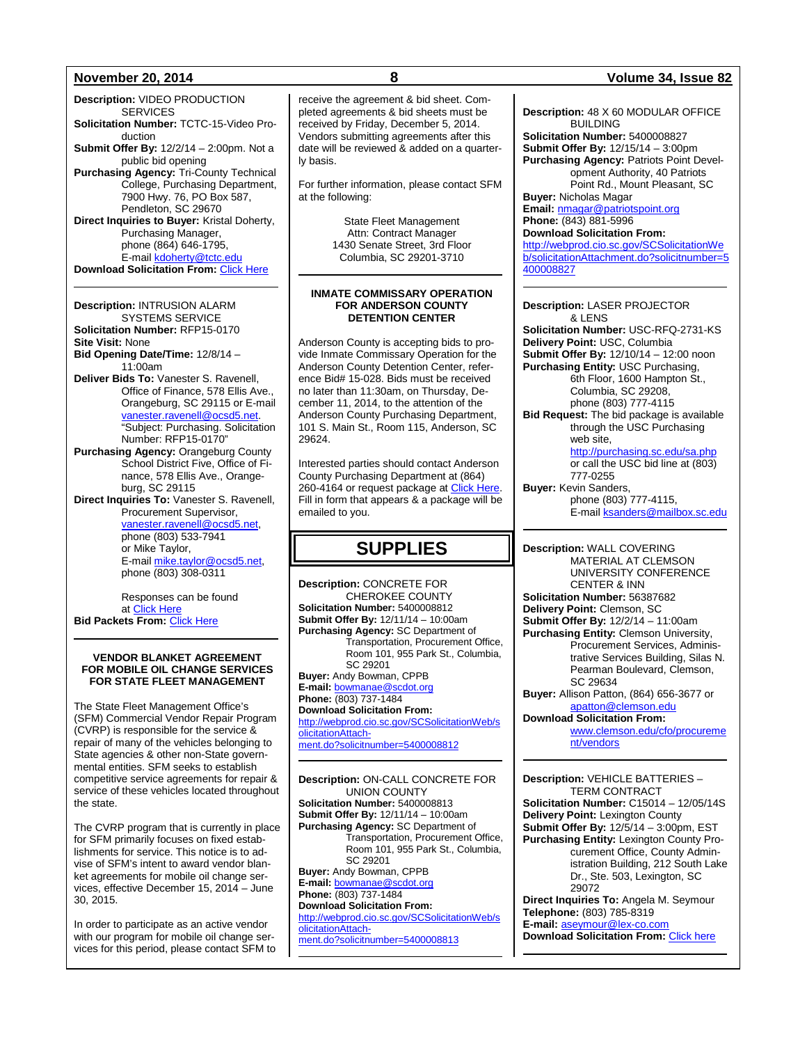**Description:** VIDEO PRODUCTION **SERVICES Solicitation Number:** TCTC-15-Video Production **Submit Offer By:** 12/2/14 – 2:00pm. Not a public bid opening **Purchasing Agency:** Tri-County Technical College, Purchasing Department, 7900 Hwy. 76, PO Box 587, Pendleton, SC 29670 **Direct Inquiries to Buyer:** Kristal Doherty, Purchasing Manager, phone (864) 646-1795, E-mail [kdoherty@tctc.edu](mailto:kdoherty@tctc.edu) **Download Solicitation From: [Click Here](http://www.tctc.edu/About_TCTC/PurchasingSolicitation/Solicitation.xml)** 

**Description:** INTRUSION ALARM SYSTEMS SERVICE **Solicitation Number:** RFP15-0170 **Site Visit:** None **Bid Opening Date/Time:** 12/8/14 – 11:00am **Deliver Bids To:** Vanester S. Ravenell, Office of Finance, 578 Ellis Ave., Orangeburg, SC 29115 or E-mail [vanester.ravenell@ocsd5.net.](mailto:vanester.ravenell@ocsd5.net) "Subject: Purchasing. Solicitation Number: RFP15-0170" **Purchasing Agency:** Orangeburg County School District Five, Office of Finance, 578 Ellis Ave., Orangeburg, SC 29115 **Direct Inquiries To:** Vanester S. Ravenell, Procurement Supervisor, [vanester.ravenell@ocsd5.net,](mailto:vanester.ravenell@ocsd5.net) phone (803) 533-7941 or Mike Taylor, E-mail *mike.taylor@ocsd5.net,* phone (803) 308-0311

Responses can be found at [Click Here](http://www.ocsd5schools.org/Default.asp?PN=DocumentUploads&L=2&DivisionID=15246&DepartmentID=16080&LMID=666650&ToggleSideNav=ShowAll) **Bid Packets From: [Click Here](http://www.ocsd5schools.org/Default.asp?PN=DocumentUploads&L=2&DivisionID=15246&DepartmentID=16080&LMID=666650&ToggleSideNav=ShowAll)** 

### **VENDOR BLANKET AGREEMENT FOR MOBILE OIL CHANGE SERVICES FOR STATE FLEET MANAGEMENT**

The State Fleet Management Office's (SFM) Commercial Vendor Repair Program (CVRP) is responsible for the service & repair of many of the vehicles belonging to State agencies & other non-State governmental entities. SFM seeks to establish competitive service agreements for repair & service of these vehicles located throughout the state.

The CVRP program that is currently in place for SFM primarily focuses on fixed establishments for service. This notice is to advise of SFM's intent to award vendor blanket agreements for mobile oil change services, effective December 15, 2014 – June 30, 2015.

In order to participate as an active vendor with our program for mobile oil change services for this period, please contact SFM to

### receive the agreement & bid sheet. Completed agreements & bid sheets must be received by Friday, December 5, 2014. Vendors submitting agreements after this date will be reviewed & added on a quarterly basis.

For further information, please contact SFM at the following:

> State Fleet Management Attn: Contract Manager 1430 Senate Street, 3rd Floor Columbia, SC 29201-3710

## **INMATE COMMISSARY OPERATION FOR ANDERSON COUNTY DETENTION CENTER**

Anderson County is accepting bids to provide Inmate Commissary Operation for the Anderson County Detention Center, reference Bid# 15-028. Bids must be received no later than 11:30am, on Thursday, December 11, 2014, to the attention of the Anderson County Purchasing Department, 101 S. Main St., Room 115, Anderson, SC 29624.

Interested parties should contact Anderson County Purchasing Department at (864) 260-4164 or request package at [Click Here.](http://www.andersoncountysc.org/WEB/Purchasing_01.asp) Fill in form that appears & a package will be emailed to you.

## **SUPPLIES**

**Description:** CONCRETE FOR CHEROKEE COUNTY **Solicitation Number:** 5400008812 **Submit Offer By:** 12/11/14 – 10:00am **Purchasing Agency:** SC Department of Transportation, Procurement Office, Room 101, 955 Park St., Columbia, SC 29201 **Buyer:** Andy Bowman, CPPB **E-mail:** [bowmanae@scdot.org](mailto:bowmanae@scdot.org) **Phone:** (803) 737-1484 **Download Solicitation From:** [http://webprod.cio.sc.gov/SCSolicitationWeb/s](http://webprod.cio.sc.gov/SCSolicitationWeb/solicitationAttachment.do?solicitnumber=5400008812) [olicitationAttach-](http://webprod.cio.sc.gov/SCSolicitationWeb/solicitationAttachment.do?solicitnumber=5400008812)

[ment.do?solicitnumber=5400008812](http://webprod.cio.sc.gov/SCSolicitationWeb/solicitationAttachment.do?solicitnumber=5400008812)

**Description:** ON-CALL CONCRETE FOR UNION COUNTY **Solicitation Number:** 5400008813 **Submit Offer By:** 12/11/14 – 10:00am **Purchasing Agency:** SC Department of Transportation, Procurement Office, Room 101, 955 Park St., Columbia, SC 29201 **Buyer:** Andy Bowman, CPPB **E-mail:** [bowmanae@scdot.org](mailto:bowmanae@scdot.org) **Phone:** (803) 737-1484 **Download Solicitation From:** [http://webprod.cio.sc.gov/SCSolicitationWeb/s](http://webprod.cio.sc.gov/SCSolicitationWeb/solicitationAttachment.do?solicitnumber=5400008813) [olicitationAttach](http://webprod.cio.sc.gov/SCSolicitationWeb/solicitationAttachment.do?solicitnumber=5400008813)[ment.do?solicitnumber=5400008813](http://webprod.cio.sc.gov/SCSolicitationWeb/solicitationAttachment.do?solicitnumber=5400008813)

## **November 20, 2014 8 Volume 34, Issue 82**

**Description:** 48 X 60 MODULAR OFFICE BUILDING

**Solicitation Number:** 5400008827 **Submit Offer By:** 12/15/14 – 3:00pm **Purchasing Agency:** Patriots Point Development Authority, 40 Patriots

Point Rd., Mount Pleasant, SC **Buyer:** Nicholas Magar

**Email:** [nmagar@patriotspoint.org](mailto:nmagar@patriotspoint.org) **Phone:** (843) 881-5996

**Download Solicitation From:**

[http://webprod.cio.sc.gov/SCSolicitationWe](http://webprod.cio.sc.gov/SCSolicitationWeb/solicitationAttachment.do?solicitnumber=5400008827) [b/solicitationAttachment.do?solicitnumber=5](http://webprod.cio.sc.gov/SCSolicitationWeb/solicitationAttachment.do?solicitnumber=5400008827) [400008827](http://webprod.cio.sc.gov/SCSolicitationWeb/solicitationAttachment.do?solicitnumber=5400008827)

**Description:** LASER PROJECTOR & LENS **Solicitation Number:** USC-RFQ-2731-KS **Delivery Point:** USC, Columbia **Submit Offer By:** 12/10/14 – 12:00 noon **Purchasing Entity:** USC Purchasing, 6th Floor, 1600 Hampton St., Columbia, SC 29208, phone (803) 777-4115 **Bid Request:** The bid package is available through the USC Purchasing web site, <http://purchasing.sc.edu/sa.php> or call the USC bid line at (803)

777-0255 **Buyer:** Kevin Sanders, phone (803) 777-4115, E-mai[l ksanders@mailbox.sc.edu](mailto:ksanders@mailbox.sc.edu)

**Description:** WALL COVERING MATERIAL AT CLEMSON UNIVERSITY CONFERENCE CENTER & INN **Solicitation Number:** 56387682 **Delivery Point:** Clemson, SC **Submit Offer By:** 12/2/14 – 11:00am **Purchasing Entity:** Clemson University, Procurement Services, Administrative Services Building, Silas N. Pearman Boulevard, Clemson, SC 29634 **Buyer:** Allison Patton, (864) 656-3677 or [apatton@clemson.edu](mailto:apatton@clemson.edu) **Download Solicitation From:**

[www.clemson.edu/cfo/procureme](http://www.clemson.edu/cfo/procurement/vendors) [nt/vendors](http://www.clemson.edu/cfo/procurement/vendors)

**Description:** VEHICLE BATTERIES – TERM CONTRACT **Solicitation Number:** C15014 – 12/05/14S **Delivery Point:** Lexington County **Submit Offer By:** 12/5/14 – 3:00pm, EST **Purchasing Entity:** Lexington County Procurement Office, County Administration Building, 212 South Lake Dr., Ste. 503, Lexington, SC 29072 **Direct Inquiries To:** Angela M. Seymour **Telephone:** (803) 785-8319

**E-mail:** [aseymour@lex-co.com](mailto:aseymour@lex-co.com) **Download Solicitation From: [Click here](http://www.lex-co.sc.gov/departments/DeptIQ/procurement/Pages/BidOpportunities.aspx)**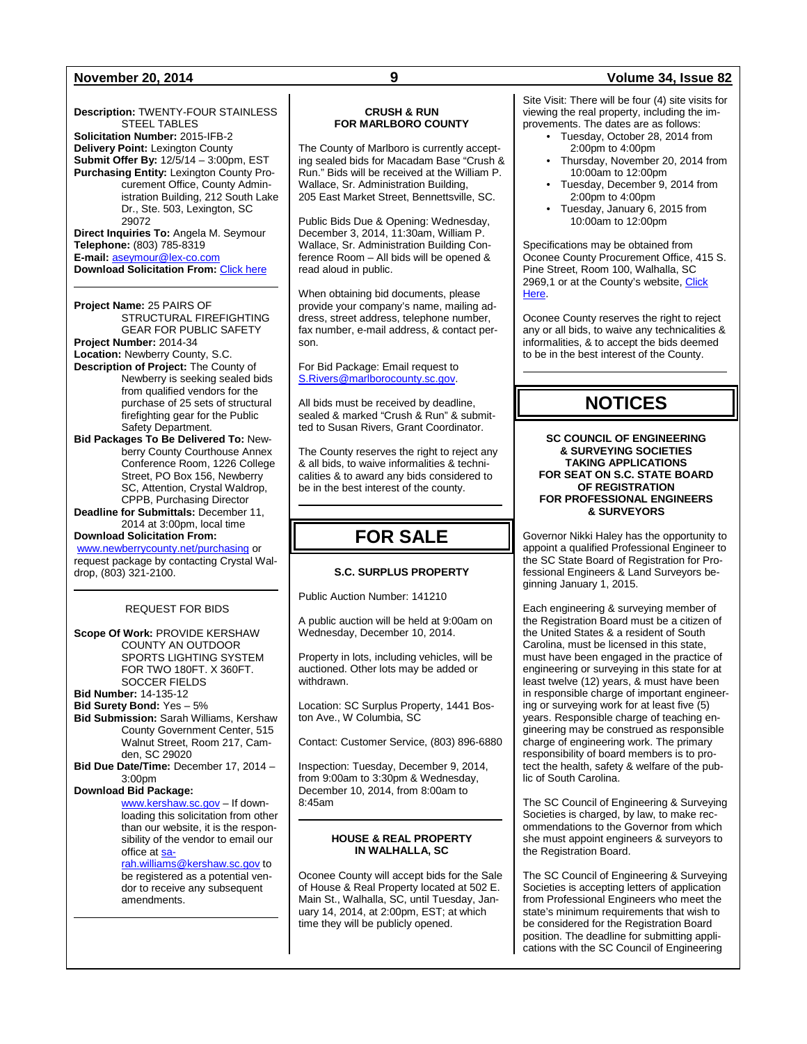### **Description:** TWENTY-FOUR STAINLESS STEEL TABLES **Solicitation Number:** 2015-IFB-2 **Delivery Point:** Lexington County **Submit Offer By:** 12/5/14 – 3:00pm, EST **Purchasing Entity:** Lexington County Procurement Office, County Administration Building, 212 South Lake

Dr., Ste. 503, Lexington, SC 29072 **Direct Inquiries To:** Angela M. Seymour

**Telephone:** (803) 785-8319 **E-mail:** [aseymour@lex-co.com](mailto:aseymour@lex-co.com) **Download Solicitation From: [Click](http://www.lex-co.sc.gov/departments/DeptIQ/procurement/Pages/BidOpportunities.aspx) here** 

**Project Name:** 25 PAIRS OF STRUCTURAL FIREFIGHTING GEAR FOR PUBLIC SAFETY **Project Number:** 2014-34 **Location:** Newberry County, S.C.

**Description of Project:** The County of Newberry is seeking sealed bids from qualified vendors for the purchase of 25 sets of structural firefighting gear for the Public Safety Department.

**Bid Packages To Be Delivered To:** Newberry County Courthouse Annex Conference Room, 1226 College Street, PO Box 156, Newberry SC, Attention, Crystal Waldrop, CPPB, Purchasing Director

**Deadline for Submittals:** December 11, 2014 at 3:00pm, local time

**Download Solicitation From:**

[www.newberrycounty.net/purchasing](http://www.newberrycounty.net/purchasing) or request package by contacting Crystal Waldrop, (803) 321-2100.

## REQUEST FOR BIDS

**Scope Of Work:** PROVIDE KERSHAW COUNTY AN OUTDOOR SPORTS LIGHTING SYSTEM FOR TWO 180FT. X 360FT. SOCCER FIELDS **Bid Number:** 14-135-12 **Bid Surety Bond:** Yes – 5% **Bid Submission:** Sarah Williams, Kershaw County Government Center, 515

Walnut Street, Room 217, Camden, SC 29020

**Bid Due Date/Time:** December 17, 2014 – 3:00pm

## **Download Bid Package:**

[www.kershaw.sc.gov](http://www.kershaw.sc.gov/) – If downloading this solicitation from other than our website, it is the responsibility of the vendor to email our office a[t sa-](mailto:sarah.williams@kershaw.sc.gov)

[rah.williams@kershaw.sc.gov](mailto:sarah.williams@kershaw.sc.gov) to be registered as a potential vendor to receive any subsequent amendments.

## **CRUSH & RUN FOR MARLBORO COUNTY**

The County of Marlboro is currently accepting sealed bids for Macadam Base "Crush & Run." Bids will be received at the William P. Wallace, Sr. Administration Building, 205 East Market Street, Bennettsville, SC.

Public Bids Due & Opening: Wednesday, December 3, 2014, 11:30am, William P. Wallace, Sr. Administration Building Conference Room – All bids will be opened & read aloud in public.

When obtaining bid documents, please provide your company's name, mailing address, street address, telephone number, fax number, e-mail address, & contact person.

For Bid Package: Email request to [S.Rivers@marlborocounty.sc.gov.](mailto:S.Rivers@marlborocounty.sc.gov)

All bids must be received by deadline, sealed & marked "Crush & Run" & submitted to Susan Rivers, Grant Coordinator.

The County reserves the right to reject any & all bids, to waive informalities & technicalities & to award any bids considered to be in the best interest of the county.

## **FOR SALE**

## **S.C. SURPLUS PROPERTY**

Public Auction Number: 141210

A public auction will be held at 9:00am on Wednesday, December 10, 2014.

Property in lots, including vehicles, will be auctioned. Other lots may be added or withdrawn.

Location: SC Surplus Property, 1441 Boston Ave., W Columbia, SC

Contact: Customer Service, (803) 896-6880

Inspection: Tuesday, December 9, 2014, from 9:00am to 3:30pm & Wednesday, December 10, 2014, from 8:00am to 8:45am

### **HOUSE & REAL PROPERTY IN WALHALLA, SC**

Oconee County will accept bids for the Sale of House & Real Property located at 502 E. Main St., Walhalla, SC, until Tuesday, January 14, 2014, at 2:00pm, EST; at which time they will be publicly opened.

Site Visit: There will be four (4) site visits for viewing the real property, including the improvements. The dates are as follows:

- Tuesday, October 28, 2014 from 2:00pm to 4:00pm
- Thursday, November 20, 2014 from 10:00am to 12:00pm
- Tuesday, December 9, 2014 from 2:00pm to 4:00pm
- Tuesday, January 6, 2015 from 10:00am to 12:00pm

Specifications may be obtained from Oconee County Procurement Office, 415 S. Pine Street, Room 100, Walhalla, SC 2969,1 or at the County's website, [Click](http://www.oconeesc.com/Departments/KZ/Procurement.aspx)  [Here.](http://www.oconeesc.com/Departments/KZ/Procurement.aspx)

Oconee County reserves the right to reject any or all bids, to waive any technicalities & informalities, & to accept the bids deemed to be in the best interest of the County.

## **NOTICES**

### **SC COUNCIL OF ENGINEERING & SURVEYING SOCIETIES TAKING APPLICATIONS FOR SEAT ON S.C. STATE BOARD OF REGISTRATION FOR PROFESSIONAL ENGINEERS & SURVEYORS**

Governor Nikki Haley has the opportunity to appoint a qualified Professional Engineer to the SC State Board of Registration for Professional Engineers & Land Surveyors beginning January 1, 2015.

Each engineering & surveying member of the Registration Board must be a citizen of the United States & a resident of South Carolina, must be licensed in this state, must have been engaged in the practice of engineering or surveying in this state for at least twelve (12) years, & must have been in responsible charge of important engineering or surveying work for at least five (5) years. Responsible charge of teaching engineering may be construed as responsible charge of engineering work. The primary responsibility of board members is to protect the health, safety & welfare of the public of South Carolina.

The SC Council of Engineering & Surveying Societies is charged, by law, to make recommendations to the Governor from which she must appoint engineers & surveyors to the Registration Board.

The SC Council of Engineering & Surveying Societies is accepting letters of application from Professional Engineers who meet the state's minimum requirements that wish to be considered for the Registration Board position. The deadline for submitting applications with the SC Council of Engineering

## **November 20, 2014 9 Volume 34, Issue 82**